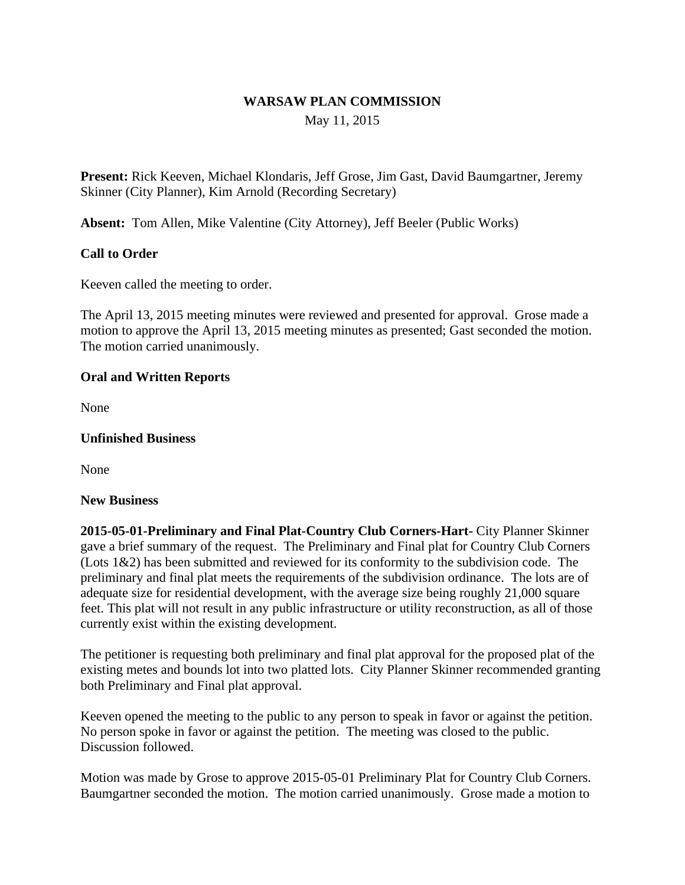## **WARSAW PLAN COMMISSION** May 11, 2015

**Present:** Rick Keeven, Michael Klondaris, Jeff Grose, Jim Gast, David Baumgartner, Jeremy Skinner (City Planner), Kim Arnold (Recording Secretary)

**Absent:** Tom Allen, Mike Valentine (City Attorney), Jeff Beeler (Public Works)

## **Call to Order**

Keeven called the meeting to order.

The April 13, 2015 meeting minutes were reviewed and presented for approval. Grose made a motion to approve the April 13, 2015 meeting minutes as presented; Gast seconded the motion. The motion carried unanimously.

### **Oral and Written Reports**

None

#### **Unfinished Business**

None

#### **New Business**

**2015-05-01-Preliminary and Final Plat-Country Club Corners-Hart-** City Planner Skinner gave a brief summary of the request. The Preliminary and Final plat for Country Club Corners (Lots 1&2) has been submitted and reviewed for its conformity to the subdivision code. The preliminary and final plat meets the requirements of the subdivision ordinance. The lots are of adequate size for residential development, with the average size being roughly 21,000 square feet. This plat will not result in any public infrastructure or utility reconstruction, as all of those currently exist within the existing development.

The petitioner is requesting both preliminary and final plat approval for the proposed plat of the existing metes and bounds lot into two platted lots. City Planner Skinner recommended granting both Preliminary and Final plat approval.

Keeven opened the meeting to the public to any person to speak in favor or against the petition. No person spoke in favor or against the petition. The meeting was closed to the public. Discussion followed.

Motion was made by Grose to approve 2015-05-01 Preliminary Plat for Country Club Corners. Baumgartner seconded the motion. The motion carried unanimously. Grose made a motion to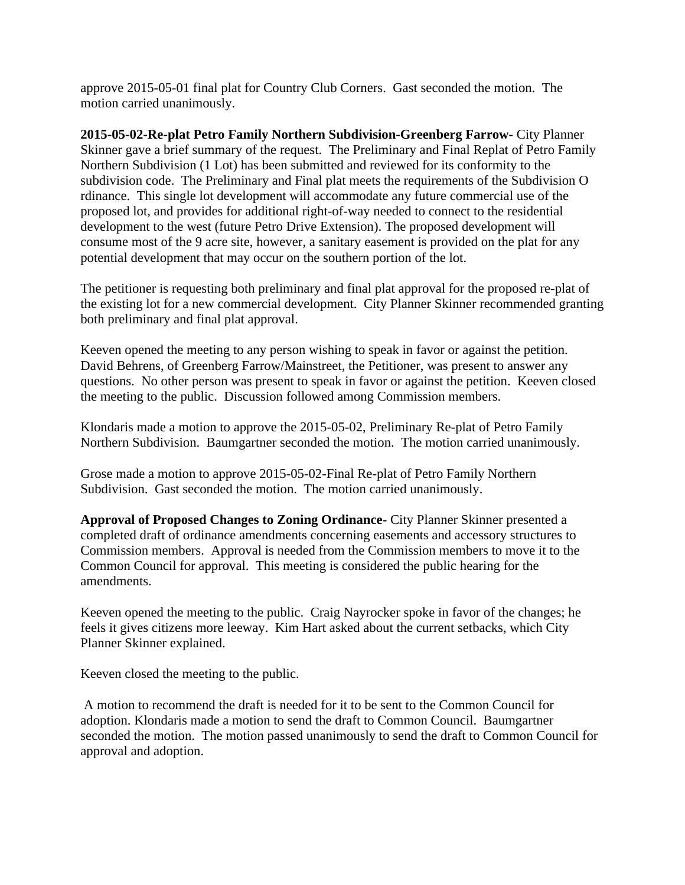approve 2015-05-01 final plat for Country Club Corners. Gast seconded the motion. The motion carried unanimously.

**2015-05-02-Re-plat Petro Family Northern Subdivision-Greenberg Farrow-** City Planner Skinner gave a brief summary of the request. The Preliminary and Final Replat of Petro Family Northern Subdivision (1 Lot) has been submitted and reviewed for its conformity to the subdivision code. The Preliminary and Final plat meets the requirements of the Subdivision O rdinance. This single lot development will accommodate any future commercial use of the proposed lot, and provides for additional right-of-way needed to connect to the residential development to the west (future Petro Drive Extension). The proposed development will consume most of the 9 acre site, however, a sanitary easement is provided on the plat for any potential development that may occur on the southern portion of the lot.

The petitioner is requesting both preliminary and final plat approval for the proposed re-plat of the existing lot for a new commercial development. City Planner Skinner recommended granting both preliminary and final plat approval.

Keeven opened the meeting to any person wishing to speak in favor or against the petition. David Behrens, of Greenberg Farrow/Mainstreet, the Petitioner, was present to answer any questions. No other person was present to speak in favor or against the petition. Keeven closed the meeting to the public. Discussion followed among Commission members.

Klondaris made a motion to approve the 2015-05-02, Preliminary Re-plat of Petro Family Northern Subdivision. Baumgartner seconded the motion. The motion carried unanimously.

Grose made a motion to approve 2015-05-02-Final Re-plat of Petro Family Northern Subdivision. Gast seconded the motion. The motion carried unanimously.

**Approval of Proposed Changes to Zoning Ordinance-** City Planner Skinner presented a completed draft of ordinance amendments concerning easements and accessory structures to Commission members. Approval is needed from the Commission members to move it to the Common Council for approval. This meeting is considered the public hearing for the amendments.

Keeven opened the meeting to the public. Craig Nayrocker spoke in favor of the changes; he feels it gives citizens more leeway. Kim Hart asked about the current setbacks, which City Planner Skinner explained.

Keeven closed the meeting to the public.

 A motion to recommend the draft is needed for it to be sent to the Common Council for adoption. Klondaris made a motion to send the draft to Common Council. Baumgartner seconded the motion. The motion passed unanimously to send the draft to Common Council for approval and adoption.